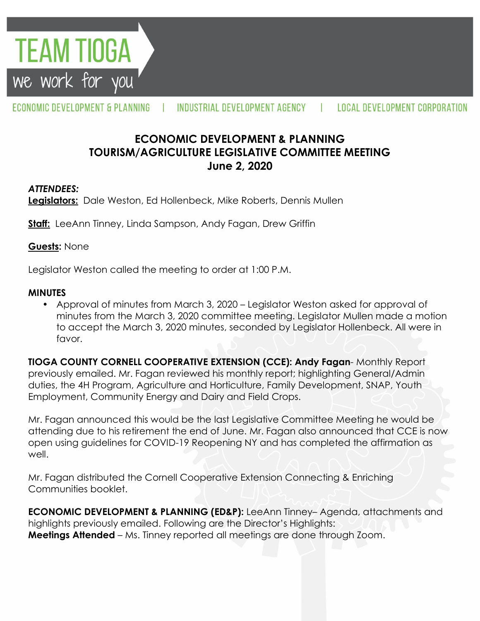

#### ECONOMIC DEVELOPMENT & PLANNING INDUSTRIAL DEVELOPMENT AGENCY LOCAL DEVELOPMENT CORPORATION

# **ECONOMIC DEVELOPMENT & PLANNING TOURISM/AGRICULTURE LEGISLATIVE COMMITTEE MEETING June 2, 2020**

### *ATTENDEES:*

**Legislators:** Dale Weston, Ed Hollenbeck, Mike Roberts, Dennis Mullen

**Staff:** LeeAnn Tinney, Linda Sampson, Andy Fagan, Drew Griffin

#### **Guests:** None

Legislator Weston called the meeting to order at 1:00 P.M.

### **MINUTES**

• Approval of minutes from March 3, 2020 – Legislator Weston asked for approval of minutes from the March 3, 2020 committee meeting. Legislator Mullen made a motion to accept the March 3, 2020 minutes, seconded by Legislator Hollenbeck. All were in favor.

**TIOGA COUNTY CORNELL COOPERATIVE EXTENSION (CCE): Andy Fagan**- Monthly Report previously emailed. Mr. Fagan reviewed his monthly report; highlighting General/Admin duties, the 4H Program, Agriculture and Horticulture, Family Development, SNAP, Youth Employment, Community Energy and Dairy and Field Crops.

Mr. Fagan announced this would be the last Legislative Committee Meeting he would be attending due to his retirement the end of June. Mr. Fagan also announced that CCE is now open using guidelines for COVID-19 Reopening NY and has completed the affirmation as well.

Mr. Fagan distributed the Cornell Cooperative Extension Connecting & Enriching Communities booklet.

**ECONOMIC DEVELOPMENT & PLANNING (ED&P):** LeeAnn Tinney– Agenda, attachments and highlights previously emailed. Following are the Director's Highlights: **Meetings Attended** – Ms. Tinney reported all meetings are done through Zoom.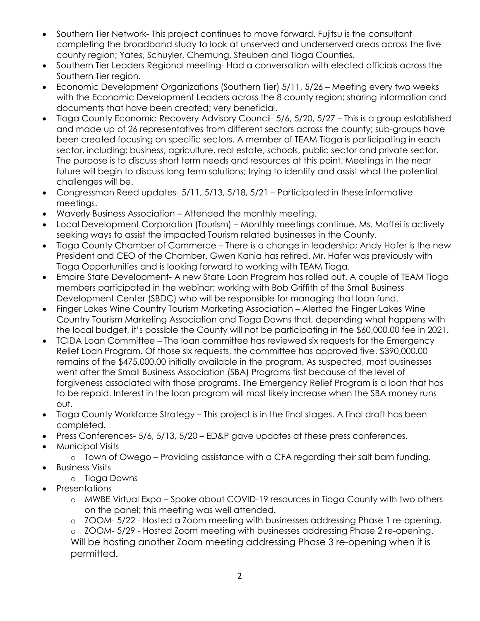- Southern Tier Network- This project continues to move forward. Fujitsu is the consultant completing the broadband study to look at unserved and underserved areas across the five county region; Yates, Schuyler, Chemung, Steuben and Tioga Counties.
- Southern Tier Leaders Regional meeting- Had a conversation with elected officials across the Southern Tier region.
- Economic Development Organizations (Southern Tier) 5/11, 5/26 Meeting every two weeks with the Economic Development Leaders across the 8 county region; sharing information and documents that have been created; very beneficial.
- Tioga County Economic Recovery Advisory Council- 5/6, 5/20, 5/27 This is a group established and made up of 26 representatives from different sectors across the county; sub-groups have been created focusing on specific sectors. A member of TEAM Tioga is participating in each sector, including; business, agriculture, real estate, schools, public sector and private sector. The purpose is to discuss short term needs and resources at this point. Meetings in the near future will begin to discuss long term solutions; trying to identify and assist what the potential challenges will be.
- Congressman Reed updates- 5/11, 5/13, 5/18, 5/21 Participated in these informative meetings.
- Waverly Business Association Attended the monthly meeting.
- Local Development Corporation (Tourism) Monthly meetings continue. Ms. Maffei is actively seeking ways to assist the impacted Tourism related businesses in the County.
- Tioga County Chamber of Commerce There is a change in leadership; Andy Hafer is the new President and CEO of the Chamber. Gwen Kania has retired. Mr. Hafer was previously with Tioga Opportunities and is looking forward to working with TEAM Tioga.
- Empire State Development- A new State Loan Program has rolled out. A couple of TEAM Tioga members participated in the webinar; working with Bob Griffith of the Small Business Development Center (SBDC) who will be responsible for managing that loan fund.
- Finger Lakes Wine Country Tourism Marketing Association Alerted the Finger Lakes Wine Country Tourism Marketing Association and Tioga Downs that, depending what happens with the local budget, it's possible the County will not be participating in the \$60,000.00 fee in 2021.
- TCIDA Loan Committee The loan committee has reviewed six requests for the Emergency Relief Loan Program. Of those six requests, the committee has approved five. \$390,000.00 remains of the \$475,000.00 initially available in the program. As suspected, most businesses went after the Small Business Association (SBA) Programs first because of the level of forgiveness associated with those programs. The Emergency Relief Program is a loan that has to be repaid. Interest in the loan program will most likely increase when the SBA money runs out.
- Tioga County Workforce Strategy This project is in the final stages. A final draft has been completed.
- Press Conferences- 5/6, 5/13, 5/20 ED&P gave updates at these press conferences.
- Municipal Visits
	- o Town of Owego Providing assistance with a CFA regarding their salt barn funding.
- **•** Business Visits
	- o Tioga Downs
- Presentations
	- o MWBE Virtual Expo Spoke about COVID-19 resources in Tioga County with two others on the panel; this meeting was well attended.
	- o ZOOM- 5/22 Hosted a Zoom meeting with businesses addressing Phase 1 re-opening.

o ZOOM- 5/29 - Hosted Zoom meeting with businesses addressing Phase 2 re-opening. Will be hosting another Zoom meeting addressing Phase 3 re-opening when it is permitted.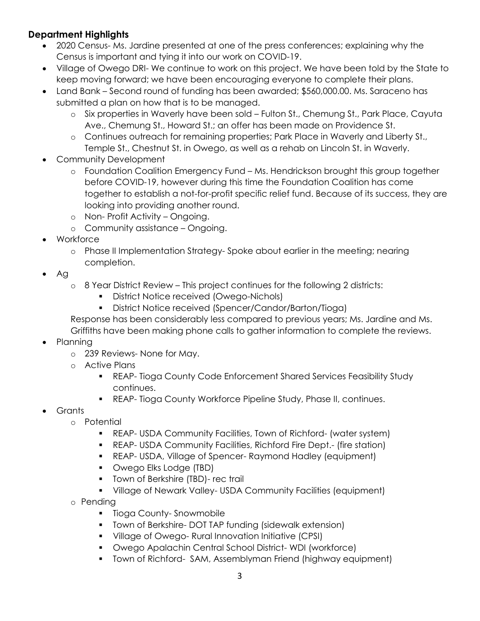# **Department Highlights**

- 2020 Census- Ms. Jardine presented at one of the press conferences; explaining why the Census is important and tying it into our work on COVID-19.
- Village of Owego DRI- We continue to work on this project. We have been told by the State to keep moving forward; we have been encouraging everyone to complete their plans.
- Land Bank Second round of funding has been awarded; \$560,000.00. Ms. Saraceno has submitted a plan on how that is to be managed.
	- o Six properties in Waverly have been sold Fulton St., Chemung St., Park Place, Cayuta Ave., Chemung St., Howard St.; an offer has been made on Providence St.
	- o Continues outreach for remaining properties; Park Place in Waverly and Liberty St., Temple St., Chestnut St. in Owego, as well as a rehab on Lincoln St. in Waverly.
- Community Development
	- o Foundation Coalition Emergency Fund Ms. Hendrickson brought this group together before COVID-19, however during this time the Foundation Coalition has come together to establish a not-for-profit specific relief fund. Because of its success, they are looking into providing another round.
	- o Non- Profit Activity Ongoing.
	- o Community assistance Ongoing.
- Workforce
	- o Phase II Implementation Strategy- Spoke about earlier in the meeting; nearing completion.
- $\bullet$  Ag
	- o 8 Year District Review This project continues for the following 2 districts:
		- District Notice received (Owego-Nichols)
		- District Notice received (Spencer/Candor/Barton/Tioga)

Response has been considerably less compared to previous years; Ms. Jardine and Ms. Griffiths have been making phone calls to gather information to complete the reviews.

- Planning
	- o 239 Reviews- None for May.
	- o Active Plans
		- REAP- Tioga County Code Enforcement Shared Services Feasibility Study continues.
		- **REAP- Tioga County Workforce Pipeline Study, Phase II, continues.**
- Grants
	- o Potential
		- REAP- USDA Community Facilities, Town of Richford- (water system)
		- **REAP- USDA Community Facilities, Richford Fire Dept.- (fire station)**
		- REAP- USDA, Village of Spencer- Raymond Hadley (equipment)
		- **•** Owego Elks Lodge (TBD)
		- **Town of Berkshire (TBD)- rec trail**
		- Village of Newark Valley- USDA Community Facilities (equipment)
	- o Pending
		- **Tioga County-Snowmobile**
		- **T** Town of Berkshire-DOT TAP funding (sidewalk extension)
		- Village of Owego- Rural Innovation Initiative (CPSI)
		- Owego Apalachin Central School District- WDI (workforce)
		- Town of Richford- SAM, Assemblyman Friend (highway equipment)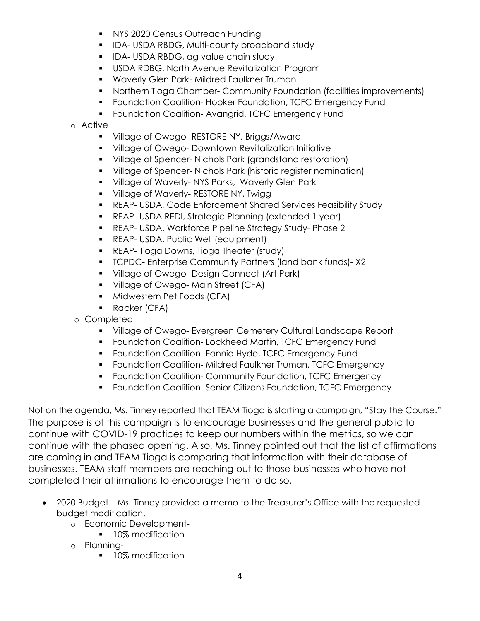- **NYS 2020 Census Outreach Funding**
- **IDA-USDA RBDG, Multi-county broadband study**
- **IDA- USDA RBDG, ag value chain study**
- USDA RDBG, North Avenue Revitalization Program
- **Waverly Glen Park- Mildred Faulkner Truman**
- Northern Tioga Chamber- Community Foundation (facilities improvements)
- **FILT** Foundation Coalition-Hooker Foundation, TCFC Emergency Fund
- **F** Foundation Coalition-Avangrid, TCFC Emergency Fund

o Active

- **Village of Owego- RESTORE NY, Briggs/Award**
- **Village of Owego- Downtown Revitalization Initiative**
- Village of Spencer- Nichols Park (grandstand restoration)
- Village of Spencer- Nichols Park (historic register nomination)
- **Village of Waverly-NYS Parks, Waverly Glen Park**
- **Village of Waverly- RESTORE NY, Twigg**
- REAP- USDA, Code Enforcement Shared Services Feasibility Study
- REAP- USDA REDI, Strategic Planning (extended 1 year)
- REAP- USDA, Workforce Pipeline Strategy Study- Phase 2
- **REAP- USDA, Public Well (equipment)**
- **REAP- Tioga Downs, Tioga Theater (study)**
- TCPDC- Enterprise Community Partners (land bank funds)- X2
- **Village of Owego- Design Connect (Art Park)**
- **Village of Owego-Main Street (CFA)**
- **Midwestern Pet Foods (CFA)**
- **Racker (CFA)**
- o Completed
	- **Village of Owego- Evergreen Cemetery Cultural Landscape Report**
	- **F** Foundation Coalition-Lockheed Martin, TCFC Emergency Fund
	- **FILM** Foundation Coalition- Fannie Hyde, TCFC Emergency Fund
	- **F** Foundation Coalition-Mildred Faulkner Truman, TCFC Emergency
	- **Foundation Coalition- Community Foundation, TCFC Emergency**
	- **F** Foundation Coalition-Senior Citizens Foundation, TCFC Emergency

Not on the agenda, Ms. Tinney reported that TEAM Tioga is starting a campaign, "Stay the Course." The purpose is of this campaign is to encourage businesses and the general public to continue with COVID-19 practices to keep our numbers within the metrics, so we can continue with the phased opening. Also, Ms. Tinney pointed out that the list of affirmations are coming in and TEAM Tioga is comparing that information with their database of businesses. TEAM staff members are reaching out to those businesses who have not completed their affirmations to encourage them to do so.

- 2020 Budget Ms. Tinney provided a memo to the Treasurer's Office with the requested budget modification.
	- o Economic Development-
		- **10% modification**
	- o Planning-
		- **10% modification**